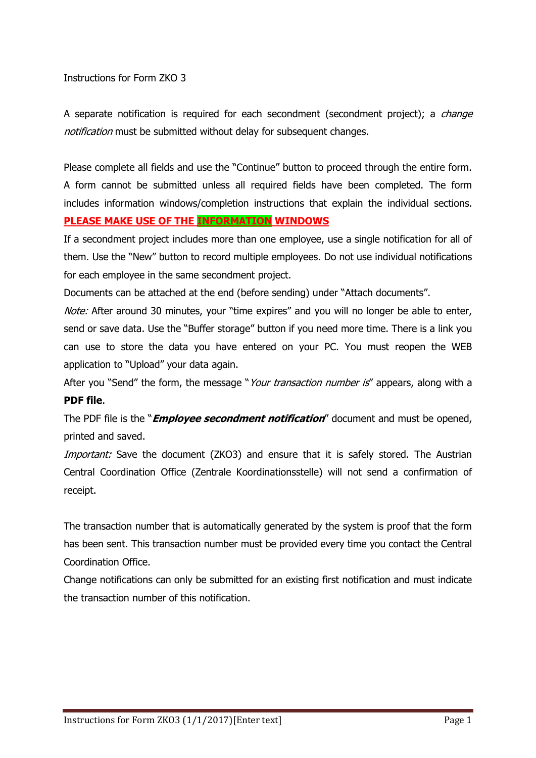## Instructions for Form ZKO 3

A separate notification is required for each secondment (secondment project); a *change* notification must be submitted without delay for subsequent changes.

Please complete all fields and use the "Continue" button to proceed through the entire form. A form cannot be submitted unless all required fields have been completed. The form includes information windows/completion instructions that explain the individual sections. **PLEASE MAKE USE OF THE INFORMATION WINDOWS**

If a secondment project includes more than one employee, use a single notification for all of them. Use the "New" button to record multiple employees. Do not use individual notifications for each employee in the same secondment project.

Documents can be attached at the end (before sending) under "Attach documents".

Note: After around 30 minutes, your "time expires" and you will no longer be able to enter, send or save data. Use the "Buffer storage" button if you need more time. There is a link you can use to store the data you have entered on your PC. You must reopen the WEB application to "Upload" your data again.

After you "Send" the form, the message "Your transaction number is" appears, along with a **PDF file**.

The PDF file is the "**Employee secondment notification**" document and must be opened, printed and saved.

Important: Save the document (ZKO3) and ensure that it is safely stored. The Austrian Central Coordination Office (Zentrale Koordinationsstelle) will not send a confirmation of receipt.

The transaction number that is automatically generated by the system is proof that the form has been sent. This transaction number must be provided every time you contact the Central Coordination Office.

Change notifications can only be submitted for an existing first notification and must indicate the transaction number of this notification.